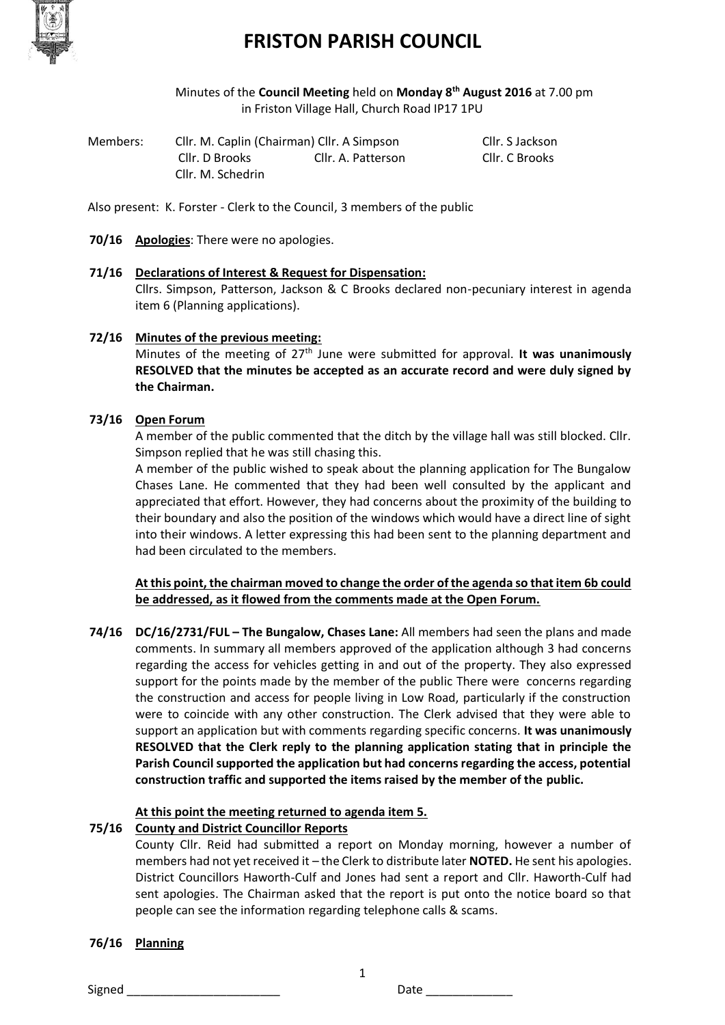

Minutes of the **Council Meeting** held on **Monday 8th August 2016** at 7.00 pm in Friston Village Hall, Church Road IP17 1PU

| Members: | Cllr. M. Caplin (Chairman) Cllr. A Simpson |                    | Cllr. S Jackson |
|----------|--------------------------------------------|--------------------|-----------------|
|          | Cllr. D Brooks                             | Cllr. A. Patterson | Cllr. C Brooks  |
|          | Cllr. M. Schedrin                          |                    |                 |

Also present: K. Forster - Clerk to the Council, 3 members of the public

**70/16 Apologies**: There were no apologies.

# **71/16 Declarations of Interest & Request for Dispensation:**

Cllrs. Simpson, Patterson, Jackson & C Brooks declared non-pecuniary interest in agenda item 6 (Planning applications).

### **72/16 Minutes of the previous meeting:**

Minutes of the meeting of 27th June were submitted for approval. **It was unanimously RESOLVED that the minutes be accepted as an accurate record and were duly signed by the Chairman.**

### **73/16 Open Forum**

A member of the public commented that the ditch by the village hall was still blocked. Cllr. Simpson replied that he was still chasing this.

A member of the public wished to speak about the planning application for The Bungalow Chases Lane. He commented that they had been well consulted by the applicant and appreciated that effort. However, they had concerns about the proximity of the building to their boundary and also the position of the windows which would have a direct line of sight into their windows. A letter expressing this had been sent to the planning department and had been circulated to the members.

## **At this point, the chairman moved to change the order of the agenda so that item 6b could be addressed, as it flowed from the comments made at the Open Forum.**

**74/16 DC/16/2731/FUL – The Bungalow, Chases Lane:** All members had seen the plans and made comments. In summary all members approved of the application although 3 had concerns regarding the access for vehicles getting in and out of the property. They also expressed support for the points made by the member of the public There were concerns regarding the construction and access for people living in Low Road, particularly if the construction were to coincide with any other construction. The Clerk advised that they were able to support an application but with comments regarding specific concerns. **It was unanimously RESOLVED that the Clerk reply to the planning application stating that in principle the Parish Council supported the application but had concerns regarding the access, potential construction traffic and supported the items raised by the member of the public.**

## **At this point the meeting returned to agenda item 5.**

#### **75/16 County and District Councillor Reports**

County Cllr. Reid had submitted a report on Monday morning, however a number of members had not yet received it – the Clerk to distribute later **NOTED.** He sent his apologies. District Councillors Haworth-Culf and Jones had sent a report and Cllr. Haworth-Culf had sent apologies. The Chairman asked that the report is put onto the notice board so that people can see the information regarding telephone calls & scams.

1

#### **76/16 Planning**

Signed \_\_\_\_\_\_\_\_\_\_\_\_\_\_\_\_\_\_\_\_\_\_\_ Date \_\_\_\_\_\_\_\_\_\_\_\_\_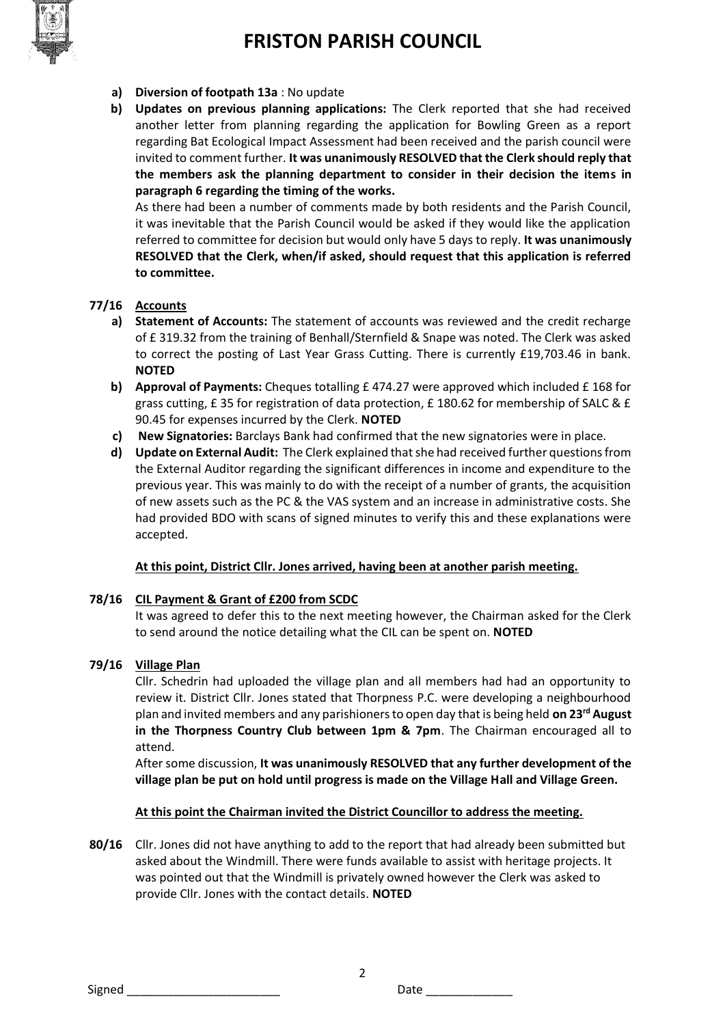

- **a) Diversion of footpath 13a** : No update
- **b) Updates on previous planning applications:** The Clerk reported that she had received another letter from planning regarding the application for Bowling Green as a report regarding Bat Ecological Impact Assessment had been received and the parish council were invited to comment further. **It was unanimously RESOLVED that the Clerk should reply that the members ask the planning department to consider in their decision the items in paragraph 6 regarding the timing of the works.**

As there had been a number of comments made by both residents and the Parish Council, it was inevitable that the Parish Council would be asked if they would like the application referred to committee for decision but would only have 5 days to reply. **It was unanimously RESOLVED that the Clerk, when/if asked, should request that this application is referred to committee.** 

## **77/16 Accounts**

- **a) Statement of Accounts:** The statement of accounts was reviewed and the credit recharge of £ 319.32 from the training of Benhall/Sternfield & Snape was noted. The Clerk was asked to correct the posting of Last Year Grass Cutting. There is currently £19,703.46 in bank. **NOTED**
- **b) Approval of Payments:** Cheques totalling £ 474.27 were approved which included £ 168 for grass cutting, £ 35 for registration of data protection, £ 180.62 for membership of SALC & £ 90.45 for expenses incurred by the Clerk. **NOTED**
- **c) New Signatories:** Barclays Bank had confirmed that the new signatories were in place.
- **d) Update on External Audit:** The Clerk explained that she had received further questions from the External Auditor regarding the significant differences in income and expenditure to the previous year. This was mainly to do with the receipt of a number of grants, the acquisition of new assets such as the PC & the VAS system and an increase in administrative costs. She had provided BDO with scans of signed minutes to verify this and these explanations were accepted.

#### **At this point, District Cllr. Jones arrived, having been at another parish meeting.**

## **78/16 CIL Payment & Grant of £200 from SCDC**

It was agreed to defer this to the next meeting however, the Chairman asked for the Clerk to send around the notice detailing what the CIL can be spent on. **NOTED**

## **79/16 Village Plan**

Cllr. Schedrin had uploaded the village plan and all members had had an opportunity to review it. District Cllr. Jones stated that Thorpness P.C. were developing a neighbourhood plan and invited members and any parishioners to open day that is being held **on 23rd August in the Thorpness Country Club between 1pm & 7pm**. The Chairman encouraged all to attend.

After some discussion, **It was unanimously RESOLVED that any further development of the village plan be put on hold until progress is made on the Village Hall and Village Green.**

#### **At this point the Chairman invited the District Councillor to address the meeting.**

**80/16** Cllr. Jones did not have anything to add to the report that had already been submitted but asked about the Windmill. There were funds available to assist with heritage projects. It was pointed out that the Windmill is privately owned however the Clerk was asked to provide Cllr. Jones with the contact details. **NOTED**

2

Signed **Example 2** Date **Date Date Date**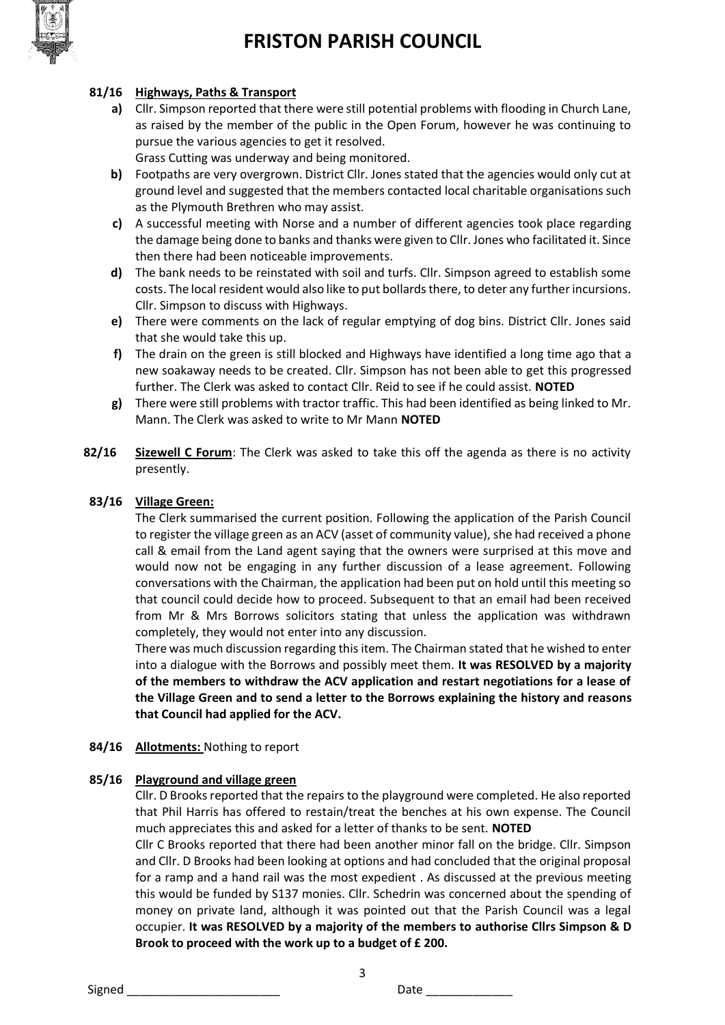

## **81/16 Highways, Paths & Transport**

- **a)** Cllr. Simpson reported that there were still potential problems with flooding in Church Lane, as raised by the member of the public in the Open Forum, however he was continuing to pursue the various agencies to get it resolved. Grass Cutting was underway and being monitored.
- **b)** Footpaths are very overgrown. District Cllr. Jones stated that the agencies would only cut at ground level and suggested that the members contacted local charitable organisations such as the Plymouth Brethren who may assist.
- **c)** A successful meeting with Norse and a number of different agencies took place regarding the damage being done to banks and thanks were given to Cllr. Jones who facilitated it. Since then there had been noticeable improvements.
- **d)** The bank needs to be reinstated with soil and turfs. Cllr. Simpson agreed to establish some costs. The local resident would also like to put bollards there, to deter any further incursions. Cllr. Simpson to discuss with Highways.
- **e)** There were comments on the lack of regular emptying of dog bins. District Cllr. Jones said that she would take this up.
- **f)** The drain on the green is still blocked and Highways have identified a long time ago that a new soakaway needs to be created. Cllr. Simpson has not been able to get this progressed further. The Clerk was asked to contact Cllr. Reid to see if he could assist. **NOTED**
- **g)** There were still problems with tractor traffic. This had been identified as being linked to Mr. Mann. The Clerk was asked to write to Mr Mann **NOTED**
- **82/16 Sizewell C Forum**: The Clerk was asked to take this off the agenda as there is no activity presently.

### **83/16 Village Green:**

The Clerk summarised the current position. Following the application of the Parish Council to register the village green as an ACV (asset of community value), she had received a phone call & email from the Land agent saying that the owners were surprised at this move and would now not be engaging in any further discussion of a lease agreement. Following conversations with the Chairman, the application had been put on hold until this meeting so that council could decide how to proceed. Subsequent to that an email had been received from Mr & Mrs Borrows solicitors stating that unless the application was withdrawn completely, they would not enter into any discussion.

There was much discussion regarding this item. The Chairman stated that he wished to enter into a dialogue with the Borrows and possibly meet them. **It was RESOLVED by a majority of the members to withdraw the ACV application and restart negotiations for a lease of the Village Green and to send a letter to the Borrows explaining the history and reasons that Council had applied for the ACV.**

#### **84/16 Allotments:** Nothing to report

#### **85/16 Playground and village green**

Cllr. D Brooks reported that the repairs to the playground were completed. He also reported that Phil Harris has offered to restain/treat the benches at his own expense. The Council much appreciates this and asked for a letter of thanks to be sent. **NOTED**

Cllr C Brooks reported that there had been another minor fall on the bridge. Cllr. Simpson and Cllr. D Brooks had been looking at options and had concluded that the original proposal for a ramp and a hand rail was the most expedient . As discussed at the previous meeting this would be funded by S137 monies. Cllr. Schedrin was concerned about the spending of money on private land, although it was pointed out that the Parish Council was a legal occupier. **It was RESOLVED by a majority of the members to authorise Cllrs Simpson & D Brook to proceed with the work up to a budget of £ 200.** 

3

Signed \_\_\_\_\_\_\_\_\_\_\_\_\_\_\_\_\_\_\_\_\_\_\_ Date \_\_\_\_\_\_\_\_\_\_\_\_\_